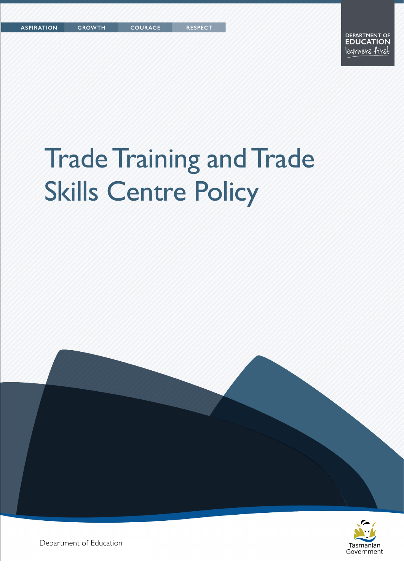COURAGE

**RESPECT** 

# Trade Training and Trade Skills Centre Policy





Department of Education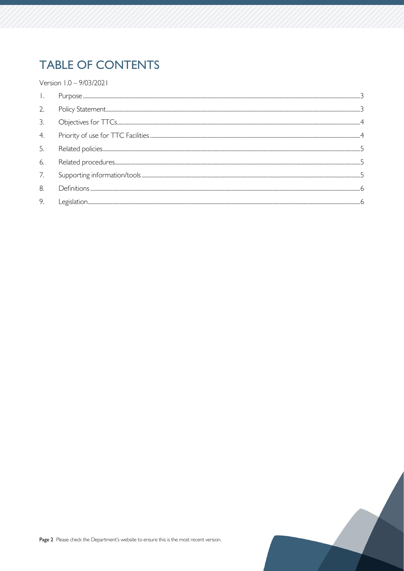# **TABLE OF CONTENTS**

Version 1.0 - 9/03/2021

| 2.               |  |
|------------------|--|
| 3                |  |
| $\overline{4}$ . |  |
| .5               |  |
| 6.               |  |
| 7.               |  |
| 8.               |  |
| 9.               |  |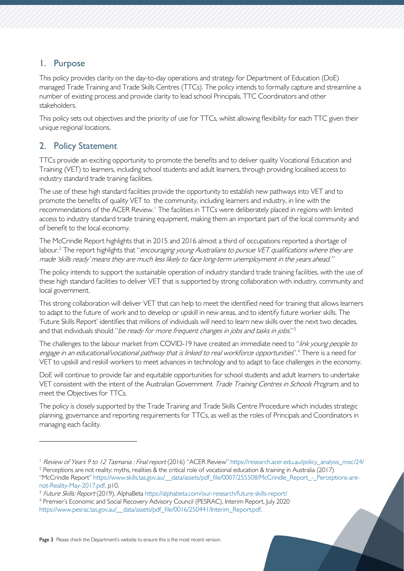# <span id="page-2-0"></span>1. Purpose

This policy provides clarity on the day-to-day operations and strategy for Department of Education (DoE) managed Trade Training and Trade Skills Centres (TTCs). The policy intends to formally capture and streamline a number of existing process and provide clarity to lead school Principals, TTC Coordinators and other stakeholders.

This policy sets out objectives and the priority of use for TTCs, whilst allowing flexibility for each TTC given their unique regional locations.

# <span id="page-2-1"></span>2. Policy Statement

TTCs provide an exciting opportunity to promote the benefits and to deliver quality Vocational Education and Training (VET) to learners, including school students and adult learners, through providing localised access to industry standard trade training facilities.

The use of these high standard facilities provide the opportunity to establish new pathways into VET and to promote the benefits of quality VET to the community, including learners and industry, in line with the recommendations of the ACER Review.<sup>[1](#page-2-2)</sup> The facilities in TTCs were deliberately placed in regions with limited access to industry standard trade training equipment, making them an important part of the local community and of benefit to the local economy.

The McCrindle Report highlights that in 2015 and 2016 almost a third of occupations reported a shortage of labour.<sup>[2](#page-2-3)</sup> The report highlights that "encouraging young Australians to pursue VET qualifications where they are made 'skills ready' means they are much less likely to face long-term unemployment in the years ahead."

The policy intends to support the sustainable operation of industry standard trade training facilities, with the use of these high standard facilities to deliver VET that is supported by strong collaboration with industry, community and local government.

This strong collaboration will deliver VET that can help to meet the identified need for training that allows learners to adapt to the future of work and to develop or upskill in new areas, and to identify future worker skills. The 'Future Skills Report' identifies that millions of individuals will need to learn new skills over the next two decades, and that individuals should "be ready for more frequent changes in jobs and tasks in jobs."<sup>[3](#page-2-4)</sup>

The challenges to the labour market from COVID-19 have created an immediate need to "link young people to engage in an educational/vocational pathway that is linked to real workforce opportunities".<sup>[4](#page-2-5)</sup> There is a need for VET to upskill and reskill workers to meet advances in technology and to adapt to face challenges in the economy.

DoE will continue to provide fair and equitable opportunities for school students and adult learners to undertake VET consistent with the intent of the Australian Government Trade Training Centres in Schools Program, and to meet the Objectives for TTCs.

The policy is closely supported by the Trade Training and Trade Skills Centre Procedure which includes strategic planning, governance and reporting requirements for TTCs, as well as the roles of Principals and Coordinators in managing each facility.

<span id="page-2-3"></span><span id="page-2-2"></span><sup>1</sup> [Review of Years 9 to 12 Tasmania : Final report](https://research.acer.edu.au/cgi/viewcontent.cgi?article=1024&context=policy_analysis_misc) (2016) "ACER Review" [https://research.acer.edu.au/policy\\_analysis\\_misc/24/](https://research.acer.edu.au/policy_analysis_misc/24/) <sup>2</sup> Perceptions are not reality: myths, realities & the critical role of vocational education & training in Australia (2017) "McCrindle Report" [https://www.skills.tas.gov.au/\\_\\_data/assets/pdf\\_file/0007/255508/McCrindle\\_Report\\_-\\_Perceptions-are](https://www.skills.tas.gov.au/__data/assets/pdf_file/0007/255508/McCrindle_Report_-_Perceptions-are-not-Reality-May-2017.pdf)[not-Reality-May-2017.pdf,](https://www.skills.tas.gov.au/__data/assets/pdf_file/0007/255508/McCrindle_Report_-_Perceptions-are-not-Reality-May-2017.pdf) p10.

<span id="page-2-4"></span><sup>&</sup>lt;sup>3</sup> Future Skills: Report (2019), AlphaBeta<https://alphabeta.com/our-research/future-skills-report/>

<span id="page-2-5"></span><sup>4</sup> Premier's Economic and Social Recovery Advisory Council (PESRAC), Interim Report, July 2020 https://www.pesrac.tas.gov.au/ data/assets/pdf file/0016/250441/Interim\_Report.pdf.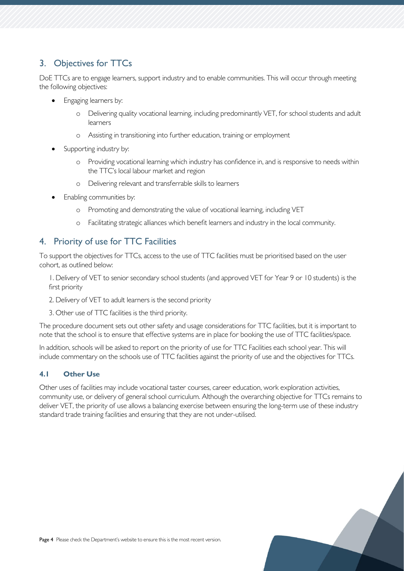# <span id="page-3-0"></span>3. Objectives for TTCs

DoE TTCs are to engage learners, support industry and to enable communities. This will occur through meeting the following objectives:

- Engaging learners by:
	- Delivering quality vocational learning, including predominantly VET, for school students and adult learners
	- o Assisting in transitioning into further education, training or employment
- Supporting industry by:
	- o Providing vocational learning which industry has confidence in, and is responsive to needs within the TTC's local labour market and region
	- o Delivering relevant and transferrable skills to learners
- Enabling communities by:
	- o Promoting and demonstrating the value of vocational learning, including VET
	- o Facilitating strategic alliances which benefit learners and industry in the local community.

# <span id="page-3-1"></span>4. Priority of use for TTC Facilities

To support the objectives for TTCs, access to the use of TTC facilities must be prioritised based on the user cohort, as outlined below:

1. Delivery of VET to senior secondary school students (and approved VET for Year 9 or 10 students) is the first priority

- 2. Delivery of VET to adult learners is the second priority
- 3. Other use of TTC facilities is the third priority.

The procedure document sets out other safety and usage considerations for TTC facilities, but it is important to note that the school is to ensure that effective systems are in place for booking the use of TTC facilities/space.

In addition, schools will be asked to report on the priority of use for TTC Facilities each school year. This will include commentary on the schools use of TTC facilities against the priority of use and the objectives for TTCs.

#### **4.1 Other Use**

Other uses of facilities may include vocational taster courses, career education, work exploration activities, community use, or delivery of general school curriculum. Although the overarching objective for TTCs remains to deliver VET, the priority of use allows a balancing exercise between ensuring the long-term use of these industry standard trade training facilities and ensuring that they are not under-utilised.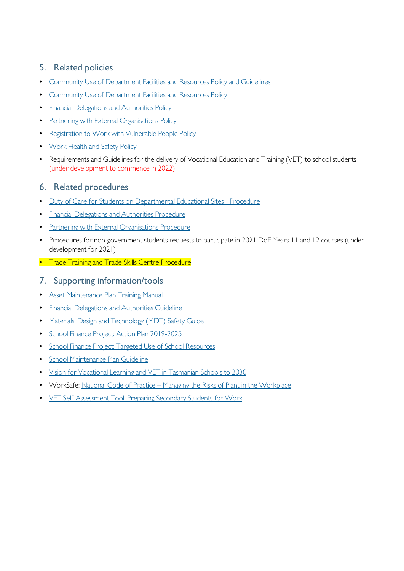# <span id="page-4-0"></span>5. Related policies

- [Community Use of Department Facilities and Resources Policy and Guidelines](https://tasedu.sharepoint.com/sites/intranet/_layouts/15/DocIdRedir.aspx?ID=TASED-1060461114-1168)
- [Community Use of Department Facilities and Resources Policy](https://tasedu.sharepoint.com/sites/intranet/_layouts/15/DocIdRedir.aspx?ID=TASED-1060461114-3397)
- [Financial Delegations and Authorities Policy](https://tasedu.sharepoint.com/sites/intranet/Document%20Centre/Financial-Delegations-and-Authorities-Policy.pdf)
- [Partnering with External Organisations Policy](https://publicdocumentcentre.education.tas.gov.au/_layouts/15/DocIdRedir.aspx?ID=TASED-4-4947)
- [Registration to Work with Vulnerable People Policy](https://publicdocumentcentre.education.tas.gov.au/_layouts/15/DocIdRedir.aspx?ID=TASED-1797567314-8803)
- [Work Health and Safety Policy](https://tasedu.sharepoint.com/sites/intranet/_layouts/15/DocIdRedir.aspx?ID=TASED-1060461114-449)
- Requirements and Guidelines for the delivery of Vocational Education and Training (VET) to school students (under development to commence in 2022)

# <span id="page-4-1"></span>6. Related procedures

- [Duty of Care for Students on Departmental Educational Sites -](https://tasedu.sharepoint.com/sites/intranet/_layouts/15/DocIdRedir.aspx?ID=TASED-1060461114-597) [Procedure](https://tasedu.sharepoint.com/sites/intranet/_layouts/15/DocIdRedir.aspx?ID=TASED-1060461114-597)
- [Financial Delegations and Authorities Procedure](https://tasedu.sharepoint.com/sites/intranet/Document%20Centre/Financial-Delegations-and-Authorities-Procedure.pdf)
- [Partnering with External Organisations Procedure](https://publicdocumentcentre.education.tas.gov.au/_layouts/15/DocIdRedir.aspx?ID=TASED-4-4948)
- Procedures for non-government students requests to participate in 2021 DoE Years 11 and 12 courses (under development for 2021)
- Trade Training and Trade Skills Centre Procedure

#### <span id="page-4-2"></span>7. Supporting information/tools

- [Asset Maintenance Plan Training Manual](https://tasedu.sharepoint.com/sites/intranet/_layouts/15/DocIdRedir.aspx?ID=TASED-1087178304-2834)
- [Financial Delegations and Authorities Guideline](https://tasedu.sharepoint.com/sites/intranet/Document%20Centre/Financial-Delegations-and-Authorities-Guideline.pdf)
- [Materials, Design and Technology \(MDT\) Safety Guide](https://tasedu.sharepoint.com/sites/intranet/_layouts/15/DocIdRedir.aspx?ID=TASED-1060461114-204)
- [School Finance Project: Action Plan 2019-2025](https://tasedu.sharepoint.com/sites/intranet/Shared%20Documents/School%20Finance%20Project%20-%20Action%20Plan.pdf)
- [School Finance Project: Targeted Use of School Resources](https://tasedu.sharepoint.com/sites/intranet/Shared%20Documents/School%20Finance%20Project%20-%20One%20Page%20Summary.pdf)
- [School Maintenance Plan Guideline](https://tasedu.sharepoint.com/sites/intranet/_layouts/15/DocIdRedir.aspx?ID=TASED-1060461114-863)
- [Vision for Vocational Learning and VET in Tasmanian Schools to 2030](https://publicdocumentcentre.education.tas.gov.au/library/Shared%20Documents/Vison%20for%20Vocational%20Learning%20and%20VET%20in%20Tasmanian%20Schools%20to%202030.pdf)
- WorkSafe: National Code of Practice [Managing the Risks of Plant in the Workplace](https://worksafe.tas.gov.au/topics/laws-and-compliance/codes-of-practice/cop-folder/managing-the-risks-of-plant-in-the-workplace)
- [VET Self-Assessment Tool: Preparing Secondary Students for Work](https://pssfw.myskills.gov.au/vet-self-assessment-tool-for-schools/)